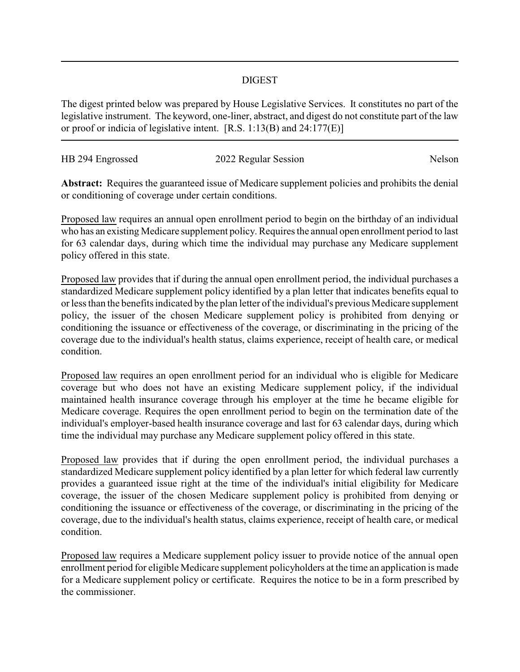## DIGEST

The digest printed below was prepared by House Legislative Services. It constitutes no part of the legislative instrument. The keyword, one-liner, abstract, and digest do not constitute part of the law or proof or indicia of legislative intent. [R.S. 1:13(B) and 24:177(E)]

| HB 294 Engrossed | 2022 Regular Session | Nelson |
|------------------|----------------------|--------|
|                  |                      |        |

**Abstract:** Requires the guaranteed issue of Medicare supplement policies and prohibits the denial or conditioning of coverage under certain conditions.

Proposed law requires an annual open enrollment period to begin on the birthday of an individual who has an existing Medicare supplement policy. Requires the annual open enrollment period to last for 63 calendar days, during which time the individual may purchase any Medicare supplement policy offered in this state.

Proposed law provides that if during the annual open enrollment period, the individual purchases a standardized Medicare supplement policy identified by a plan letter that indicates benefits equal to or less than the benefits indicated by the plan letter of the individual's previous Medicare supplement policy, the issuer of the chosen Medicare supplement policy is prohibited from denying or conditioning the issuance or effectiveness of the coverage, or discriminating in the pricing of the coverage due to the individual's health status, claims experience, receipt of health care, or medical condition.

Proposed law requires an open enrollment period for an individual who is eligible for Medicare coverage but who does not have an existing Medicare supplement policy, if the individual maintained health insurance coverage through his employer at the time he became eligible for Medicare coverage. Requires the open enrollment period to begin on the termination date of the individual's employer-based health insurance coverage and last for 63 calendar days, during which time the individual may purchase any Medicare supplement policy offered in this state.

Proposed law provides that if during the open enrollment period, the individual purchases a standardized Medicare supplement policy identified by a plan letter for which federal law currently provides a guaranteed issue right at the time of the individual's initial eligibility for Medicare coverage, the issuer of the chosen Medicare supplement policy is prohibited from denying or conditioning the issuance or effectiveness of the coverage, or discriminating in the pricing of the coverage, due to the individual's health status, claims experience, receipt of health care, or medical condition.

Proposed law requires a Medicare supplement policy issuer to provide notice of the annual open enrollment period for eligible Medicare supplement policyholders at the time an application is made for a Medicare supplement policy or certificate. Requires the notice to be in a form prescribed by the commissioner.